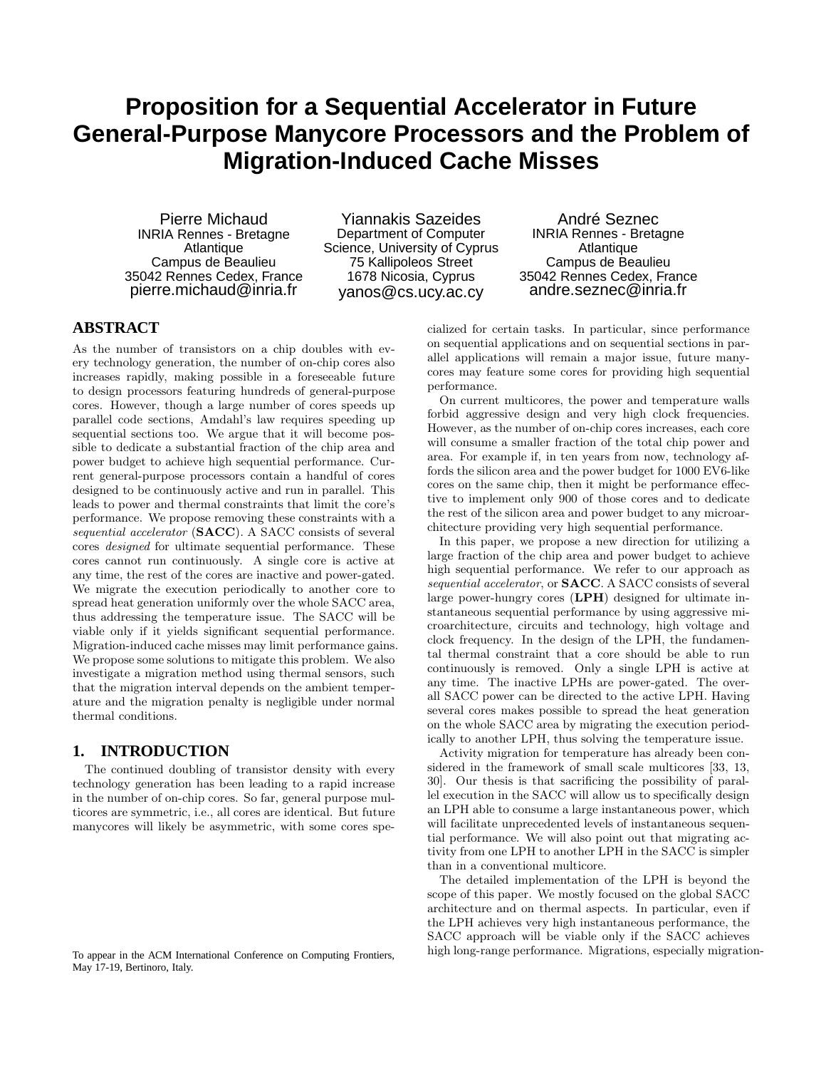# **Proposition for a Sequential Accelerator in Future General-Purpose Manycore Processors and the Problem of Migration-Induced Cache Misses**

Pierre Michaud INRIA Rennes - Bretagne **Atlantique** Campus de Beaulieu 35042 Rennes Cedex, France pierre.michaud@inria.fr

Yiannakis Sazeides Department of Computer Science, University of Cyprus 75 Kallipoleos Street 1678 Nicosia, Cyprus yanos@cs.ucy.ac.cy

André Seznec INRIA Rennes - Bretagne **Atlantique** Campus de Beaulieu 35042 Rennes Cedex, France andre.seznec@inria.fr

# **ABSTRACT**

As the number of transistors on a chip doubles with every technology generation, the number of on-chip cores also increases rapidly, making possible in a foreseeable future to design processors featuring hundreds of general-purpose cores. However, though a large number of cores speeds up parallel code sections, Amdahl's law requires speeding up sequential sections too. We argue that it will become possible to dedicate a substantial fraction of the chip area and power budget to achieve high sequential performance. Current general-purpose processors contain a handful of cores designed to be continuously active and run in parallel. This leads to power and thermal constraints that limit the core's performance. We propose removing these constraints with a sequential accelerator (SACC). A SACC consists of several cores designed for ultimate sequential performance. These cores cannot run continuously. A single core is active at any time, the rest of the cores are inactive and power-gated. We migrate the execution periodically to another core to spread heat generation uniformly over the whole SACC area, thus addressing the temperature issue. The SACC will be viable only if it yields significant sequential performance. Migration-induced cache misses may limit performance gains. We propose some solutions to mitigate this problem. We also investigate a migration method using thermal sensors, such that the migration interval depends on the ambient temperature and the migration penalty is negligible under normal thermal conditions.

## **1. INTRODUCTION**

The continued doubling of transistor density with every technology generation has been leading to a rapid increase in the number of on-chip cores. So far, general purpose multicores are symmetric, i.e., all cores are identical. But future manycores will likely be asymmetric, with some cores spe-

To appear in the ACM International Conference on Computing Frontiers, May 17-19, Bertinoro, Italy.

cialized for certain tasks. In particular, since performance on sequential applications and on sequential sections in parallel applications will remain a major issue, future manycores may feature some cores for providing high sequential performance.

On current multicores, the power and temperature walls forbid aggressive design and very high clock frequencies. However, as the number of on-chip cores increases, each core will consume a smaller fraction of the total chip power and area. For example if, in ten years from now, technology affords the silicon area and the power budget for 1000 EV6-like cores on the same chip, then it might be performance effective to implement only 900 of those cores and to dedicate the rest of the silicon area and power budget to any microarchitecture providing very high sequential performance.

In this paper, we propose a new direction for utilizing a large fraction of the chip area and power budget to achieve high sequential performance. We refer to our approach as sequential accelerator, or **SACC**. A SACC consists of several large power-hungry cores (LPH) designed for ultimate instantaneous sequential performance by using aggressive microarchitecture, circuits and technology, high voltage and clock frequency. In the design of the LPH, the fundamental thermal constraint that a core should be able to run continuously is removed. Only a single LPH is active at any time. The inactive LPHs are power-gated. The overall SACC power can be directed to the active LPH. Having several cores makes possible to spread the heat generation on the whole SACC area by migrating the execution periodically to another LPH, thus solving the temperature issue.

Activity migration for temperature has already been considered in the framework of small scale multicores [33, 13, 30]. Our thesis is that sacrificing the possibility of parallel execution in the SACC will allow us to specifically design an LPH able to consume a large instantaneous power, which will facilitate unprecedented levels of instantaneous sequential performance. We will also point out that migrating activity from one LPH to another LPH in the SACC is simpler than in a conventional multicore.

The detailed implementation of the LPH is beyond the scope of this paper. We mostly focused on the global SACC architecture and on thermal aspects. In particular, even if the LPH achieves very high instantaneous performance, the SACC approach will be viable only if the SACC achieves high long-range performance. Migrations, especially migration-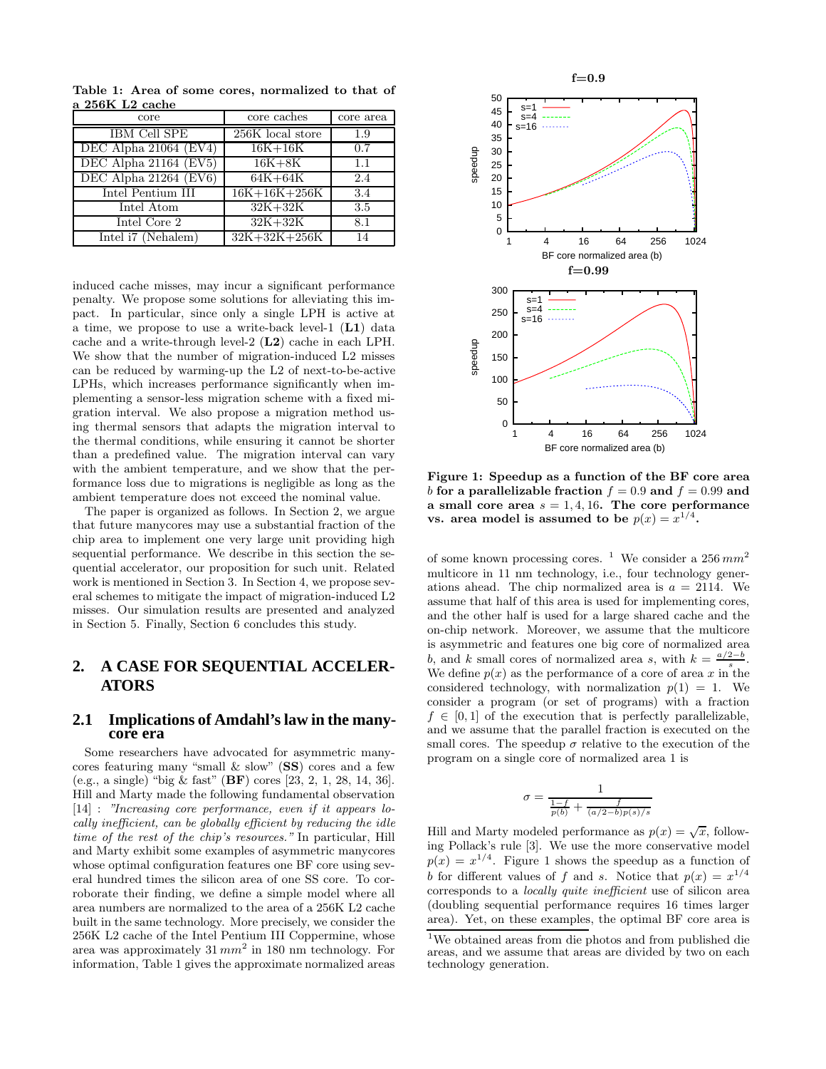| a zoon <i>uz</i> cache  |                  |           |  |  |
|-------------------------|------------------|-----------|--|--|
| core                    | core caches      | core area |  |  |
| IBM Cell SPE            | 256K local store | 1.9       |  |  |
| DEC Alpha $21064$ (EV4) | $16K+16K$        | 0.7       |  |  |
| DEC Alpha $21164$ (EV5) | $16K+8K$         | 1.1       |  |  |
| DEC Alpha $21264$ (EV6) | $64K+64K$        | 2.4       |  |  |
| Intel Pentium III       | $16K+16K+256K$   | 3.4       |  |  |
| Intel Atom              | $32K+32K$        | 3.5       |  |  |
| Intel Core 2            | $32K+32K$        | 8.1       |  |  |
| Intel i7 (Nehalem)      | $32K+32K+256K$   | 14        |  |  |

Table 1: Area of some cores, normalized to that of  $\alpha$  256K L2 cache

induced cache misses, may incur a significant performance penalty. We propose some solutions for alleviating this impact. In particular, since only a single LPH is active at a time, we propose to use a write-back level-1 (L1) data cache and a write-through level-2 (L2) cache in each LPH. We show that the number of migration-induced L2 misses can be reduced by warming-up the L2 of next-to-be-active LPHs, which increases performance significantly when implementing a sensor-less migration scheme with a fixed migration interval. We also propose a migration method using thermal sensors that adapts the migration interval to the thermal conditions, while ensuring it cannot be shorter than a predefined value. The migration interval can vary with the ambient temperature, and we show that the performance loss due to migrations is negligible as long as the ambient temperature does not exceed the nominal value.

The paper is organized as follows. In Section 2, we argue that future manycores may use a substantial fraction of the chip area to implement one very large unit providing high sequential performance. We describe in this section the sequential accelerator, our proposition for such unit. Related work is mentioned in Section 3. In Section 4, we propose several schemes to mitigate the impact of migration-induced L2 misses. Our simulation results are presented and analyzed in Section 5. Finally, Section 6 concludes this study.

# **2. A CASE FOR SEQUENTIAL ACCELER-ATORS**

## **2.1 Implications of Amdahl's law in the manycore era**

Some researchers have advocated for asymmetric manycores featuring many "small  $\&$  slow" (SS) cores and a few (e.g., a single) "big & fast" (BF) cores [23, 2, 1, 28, 14, 36]. Hill and Marty made the following fundamental observation [14] : "Increasing core performance, even if it appears locally inefficient, can be globally efficient by reducing the idle time of the rest of the chip's resources." In particular, Hill and Marty exhibit some examples of asymmetric manycores whose optimal configuration features one BF core using several hundred times the silicon area of one SS core. To corroborate their finding, we define a simple model where all area numbers are normalized to the area of a 256K L2 cache built in the same technology. More precisely, we consider the 256K L2 cache of the Intel Pentium III Coppermine, whose area was approximately  $31 \, mm^2$  in 180 nm technology. For information, Table 1 gives the approximate normalized areas



Figure 1: Speedup as a function of the BF core area b for a parallelizable fraction  $f = 0.9$  and  $f = 0.99$  and a small core area  $s = 1, 4, 16$ . The core performance vs. area model is assumed to be  $p(x) = x^{1/4}$ .

of some known processing cores. <sup>1</sup> We consider a  $256 \, mm^2$ multicore in 11 nm technology, i.e., four technology generations ahead. The chip normalized area is  $a = 2114$ . We assume that half of this area is used for implementing cores, and the other half is used for a large shared cache and the on-chip network. Moreover, we assume that the multicore is asymmetric and features one big core of normalized area b, and k small cores of normalized area s, with  $k = \frac{a/2-b}{s}$ . We define  $p(x)$  as the performance of a core of area x in the considered technology, with normalization  $p(1) = 1$ . We consider a program (or set of programs) with a fraction  $f \in [0, 1]$  of the execution that is perfectly parallelizable, and we assume that the parallel fraction is executed on the small cores. The speedup  $\sigma$  relative to the execution of the program on a single core of normalized area 1 is

$$
\sigma = \frac{1}{\frac{1-f}{p(b)} + \frac{f}{(a/2-b)p(s)/s}}
$$

Hill and Marty modeled performance as  $p(x) = \sqrt{x}$ , following Pollack's rule [3]. We use the more conservative model  $p(x) = x^{1/4}$ . Figure 1 shows the speedup as a function of b for different values of f and s. Notice that  $p(x) = x^{1/4}$ corresponds to a locally quite inefficient use of silicon area (doubling sequential performance requires 16 times larger area). Yet, on these examples, the optimal BF core area is

<sup>1</sup>We obtained areas from die photos and from published die areas, and we assume that areas are divided by two on each technology generation.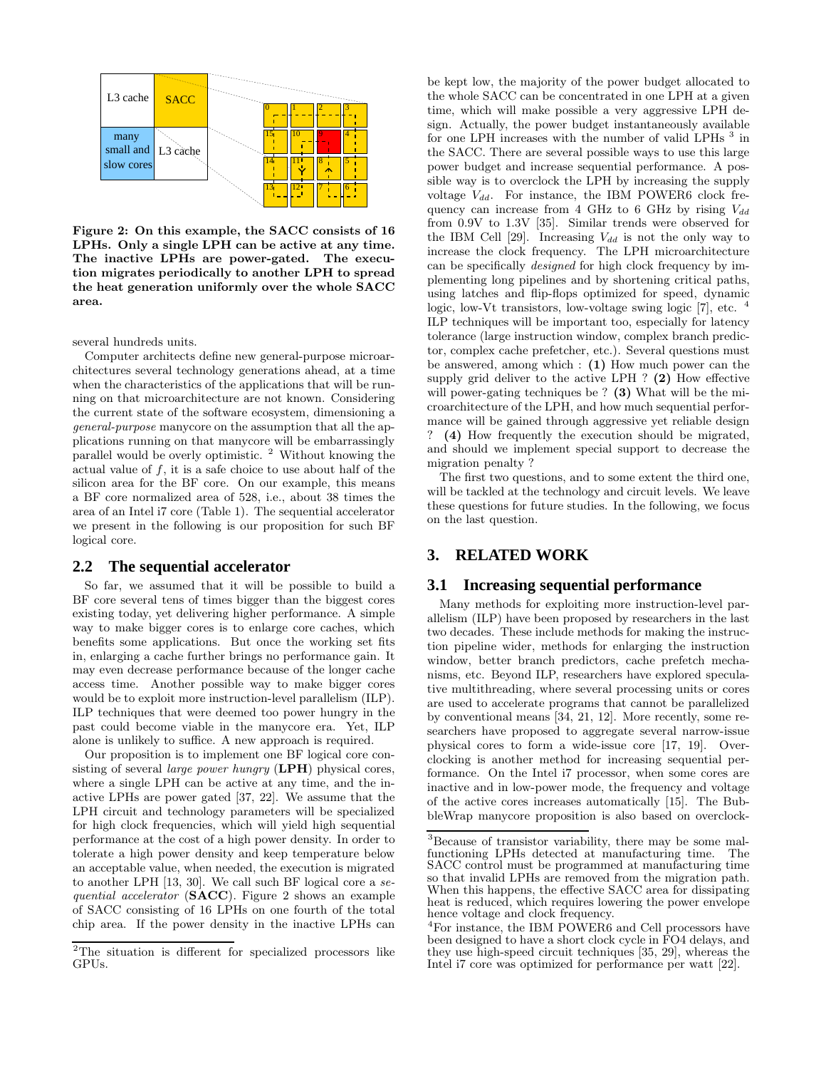

Figure 2: On this example, the SACC consists of 16 LPHs. Only a single LPH can be active at any time. The inactive LPHs are power-gated. The execution migrates periodically to another LPH to spread the heat generation uniformly over the whole SACC area.

several hundreds units.

Computer architects define new general-purpose microarchitectures several technology generations ahead, at a time when the characteristics of the applications that will be running on that microarchitecture are not known. Considering the current state of the software ecosystem, dimensioning a general-purpose manycore on the assumption that all the applications running on that manycore will be embarrassingly parallel would be overly optimistic. <sup>2</sup> Without knowing the actual value of  $f$ , it is a safe choice to use about half of the silicon area for the BF core. On our example, this means a BF core normalized area of 528, i.e., about 38 times the area of an Intel i7 core (Table 1). The sequential accelerator we present in the following is our proposition for such BF logical core.

## **2.2 The sequential accelerator**

So far, we assumed that it will be possible to build a BF core several tens of times bigger than the biggest cores existing today, yet delivering higher performance. A simple way to make bigger cores is to enlarge core caches, which benefits some applications. But once the working set fits in, enlarging a cache further brings no performance gain. It may even decrease performance because of the longer cache access time. Another possible way to make bigger cores would be to exploit more instruction-level parallelism (ILP). ILP techniques that were deemed too power hungry in the past could become viable in the manycore era. Yet, ILP alone is unlikely to suffice. A new approach is required.

Our proposition is to implement one BF logical core consisting of several *large power hungry* (LPH) physical cores, where a single LPH can be active at any time, and the inactive LPHs are power gated [37, 22]. We assume that the LPH circuit and technology parameters will be specialized for high clock frequencies, which will yield high sequential performance at the cost of a high power density. In order to tolerate a high power density and keep temperature below an acceptable value, when needed, the execution is migrated to another LPH [13, 30]. We call such BF logical core a sequential accelerator (SACC). Figure 2 shows an example of SACC consisting of 16 LPHs on one fourth of the total chip area. If the power density in the inactive LPHs can

be kept low, the majority of the power budget allocated to the whole SACC can be concentrated in one LPH at a given time, which will make possible a very aggressive LPH design. Actually, the power budget instantaneously available for one LPH increases with the number of valid LPHs  $^3$  in the SACC. There are several possible ways to use this large power budget and increase sequential performance. A possible way is to overclock the LPH by increasing the supply voltage  $V_{dd}$ . For instance, the IBM POWER6 clock frequency can increase from 4 GHz to 6 GHz by rising  $V_{dd}$ from 0.9V to 1.3V [35]. Similar trends were observed for the IBM Cell [29]. Increasing  $V_{dd}$  is not the only way to increase the clock frequency. The LPH microarchitecture can be specifically designed for high clock frequency by implementing long pipelines and by shortening critical paths, using latches and flip-flops optimized for speed, dynamic logic, low-Vt transistors, low-voltage swing logic [7], etc. <sup>4</sup> ILP techniques will be important too, especially for latency tolerance (large instruction window, complex branch predictor, complex cache prefetcher, etc.). Several questions must be answered, among which : (1) How much power can the supply grid deliver to the active LPH ? (2) How effective will power-gating techniques be ? (3) What will be the microarchitecture of the LPH, and how much sequential performance will be gained through aggressive yet reliable design ? (4) How frequently the execution should be migrated, and should we implement special support to decrease the migration penalty ?

The first two questions, and to some extent the third one, will be tackled at the technology and circuit levels. We leave these questions for future studies. In the following, we focus on the last question.

## **3. RELATED WORK**

## **3.1 Increasing sequential performance**

Many methods for exploiting more instruction-level parallelism (ILP) have been proposed by researchers in the last two decades. These include methods for making the instruction pipeline wider, methods for enlarging the instruction window, better branch predictors, cache prefetch mechanisms, etc. Beyond ILP, researchers have explored speculative multithreading, where several processing units or cores are used to accelerate programs that cannot be parallelized by conventional means [34, 21, 12]. More recently, some researchers have proposed to aggregate several narrow-issue physical cores to form a wide-issue core [17, 19]. Overclocking is another method for increasing sequential performance. On the Intel i7 processor, when some cores are inactive and in low-power mode, the frequency and voltage of the active cores increases automatically [15]. The BubbleWrap manycore proposition is also based on overclock-

<sup>2</sup>The situation is different for specialized processors like GPUs.

<sup>3</sup>Because of transistor variability, there may be some malfunctioning LPHs detected at manufacturing time. The SACC control must be programmed at manufacturing time so that invalid LPHs are removed from the migration path. When this happens, the effective SACC area for dissipating heat is reduced, which requires lowering the power envelope hence voltage and clock frequency.

<sup>4</sup>For instance, the IBM POWER6 and Cell processors have been designed to have a short clock cycle in FO4 delays, and they use high-speed circuit techniques [35, 29], whereas the Intel i7 core was optimized for performance per watt [22].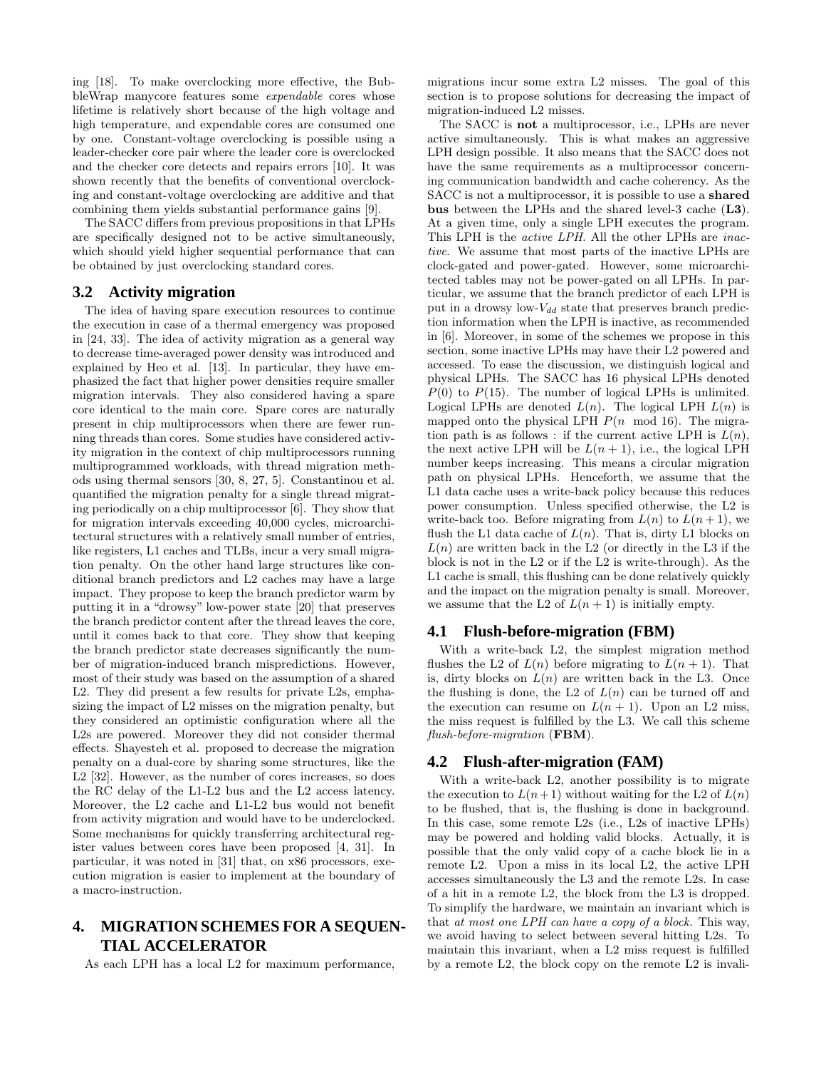ing [18]. To make overclocking more effective, the BubbleWrap manycore features some expendable cores whose lifetime is relatively short because of the high voltage and high temperature, and expendable cores are consumed one by one. Constant-voltage overclocking is possible using a leader-checker core pair where the leader core is overclocked and the checker core detects and repairs errors [10]. It was shown recently that the benefits of conventional overclocking and constant-voltage overclocking are additive and that combining them yields substantial performance gains [9].

The SACC differs from previous propositions in that LPHs are specifically designed not to be active simultaneously, which should yield higher sequential performance that can be obtained by just overclocking standard cores.

## **3.2 Activity migration**

The idea of having spare execution resources to continue the execution in case of a thermal emergency was proposed in [24, 33]. The idea of activity migration as a general way to decrease time-averaged power density was introduced and explained by Heo et al. [13]. In particular, they have emphasized the fact that higher power densities require smaller migration intervals. They also considered having a spare core identical to the main core. Spare cores are naturally present in chip multiprocessors when there are fewer running threads than cores. Some studies have considered activity migration in the context of chip multiprocessors running multiprogrammed workloads, with thread migration methods using thermal sensors [30, 8, 27, 5]. Constantinou et al. quantified the migration penalty for a single thread migrating periodically on a chip multiprocessor [6]. They show that for migration intervals exceeding 40,000 cycles, microarchitectural structures with a relatively small number of entries, like registers, L1 caches and TLBs, incur a very small migration penalty. On the other hand large structures like conditional branch predictors and L2 caches may have a large impact. They propose to keep the branch predictor warm by putting it in a "drowsy" low-power state [20] that preserves the branch predictor content after the thread leaves the core, until it comes back to that core. They show that keeping the branch predictor state decreases significantly the number of migration-induced branch mispredictions. However, most of their study was based on the assumption of a shared L2. They did present a few results for private L2s, emphasizing the impact of L2 misses on the migration penalty, but they considered an optimistic configuration where all the L2s are powered. Moreover they did not consider thermal effects. Shayesteh et al. proposed to decrease the migration penalty on a dual-core by sharing some structures, like the L2 [32]. However, as the number of cores increases, so does the RC delay of the L1-L2 bus and the L2 access latency. Moreover, the L2 cache and L1-L2 bus would not benefit from activity migration and would have to be underclocked. Some mechanisms for quickly transferring architectural register values between cores have been proposed [4, 31]. In particular, it was noted in [31] that, on x86 processors, execution migration is easier to implement at the boundary of a macro-instruction.

# **4. MIGRATION SCHEMES FOR A SEQUEN-TIAL ACCELERATOR**

As each LPH has a local L2 for maximum performance,

migrations incur some extra L2 misses. The goal of this section is to propose solutions for decreasing the impact of migration-induced L2 misses.

The SACC is not a multiprocessor, i.e., LPHs are never active simultaneously. This is what makes an aggressive LPH design possible. It also means that the SACC does not have the same requirements as a multiprocessor concerning communication bandwidth and cache coherency. As the SACC is not a multiprocessor, it is possible to use a shared bus between the LPHs and the shared level-3 cache (L3). At a given time, only a single LPH executes the program. This LPH is the active LPH. All the other LPHs are inactive. We assume that most parts of the inactive LPHs are clock-gated and power-gated. However, some microarchitected tables may not be power-gated on all LPHs. In particular, we assume that the branch predictor of each LPH is put in a drowsy low- $V_{dd}$  state that preserves branch prediction information when the LPH is inactive, as recommended in [6]. Moreover, in some of the schemes we propose in this section, some inactive LPHs may have their L2 powered and accessed. To ease the discussion, we distinguish logical and physical LPHs. The SACC has 16 physical LPHs denoted  $P(0)$  to  $P(15)$ . The number of logical LPHs is unlimited. Logical LPHs are denoted  $L(n)$ . The logical LPH  $L(n)$  is mapped onto the physical LPH  $P(n \mod 16)$ . The migration path is as follows : if the current active LPH is  $L(n)$ , the next active LPH will be  $L(n + 1)$ , i.e., the logical LPH number keeps increasing. This means a circular migration path on physical LPHs. Henceforth, we assume that the L1 data cache uses a write-back policy because this reduces power consumption. Unless specified otherwise, the L2 is write-back too. Before migrating from  $L(n)$  to  $L(n+1)$ , we flush the L1 data cache of  $L(n)$ . That is, dirty L1 blocks on  $L(n)$  are written back in the L2 (or directly in the L3 if the block is not in the L2 or if the L2 is write-through). As the L1 cache is small, this flushing can be done relatively quickly and the impact on the migration penalty is small. Moreover, we assume that the L2 of  $L(n+1)$  is initially empty.

## **4.1 Flush-before-migration (FBM)**

With a write-back L2, the simplest migration method flushes the L2 of  $L(n)$  before migrating to  $L(n + 1)$ . That is, dirty blocks on  $L(n)$  are written back in the L3. Once the flushing is done, the L2 of  $L(n)$  can be turned off and the execution can resume on  $L(n + 1)$ . Upon an L2 miss, the miss request is fulfilled by the L3. We call this scheme flush-before-migration (FBM).

## **4.2 Flush-after-migration (FAM)**

With a write-back L2, another possibility is to migrate the execution to  $L(n+1)$  without waiting for the L2 of  $L(n)$ to be flushed, that is, the flushing is done in background. In this case, some remote L2s (i.e., L2s of inactive LPHs) may be powered and holding valid blocks. Actually, it is possible that the only valid copy of a cache block lie in a remote L2. Upon a miss in its local L2, the active LPH accesses simultaneously the L3 and the remote L2s. In case of a hit in a remote L2, the block from the L3 is dropped. To simplify the hardware, we maintain an invariant which is that at most one LPH can have a copy of a block. This way, we avoid having to select between several hitting L2s. To maintain this invariant, when a L2 miss request is fulfilled by a remote L2, the block copy on the remote L2 is invali-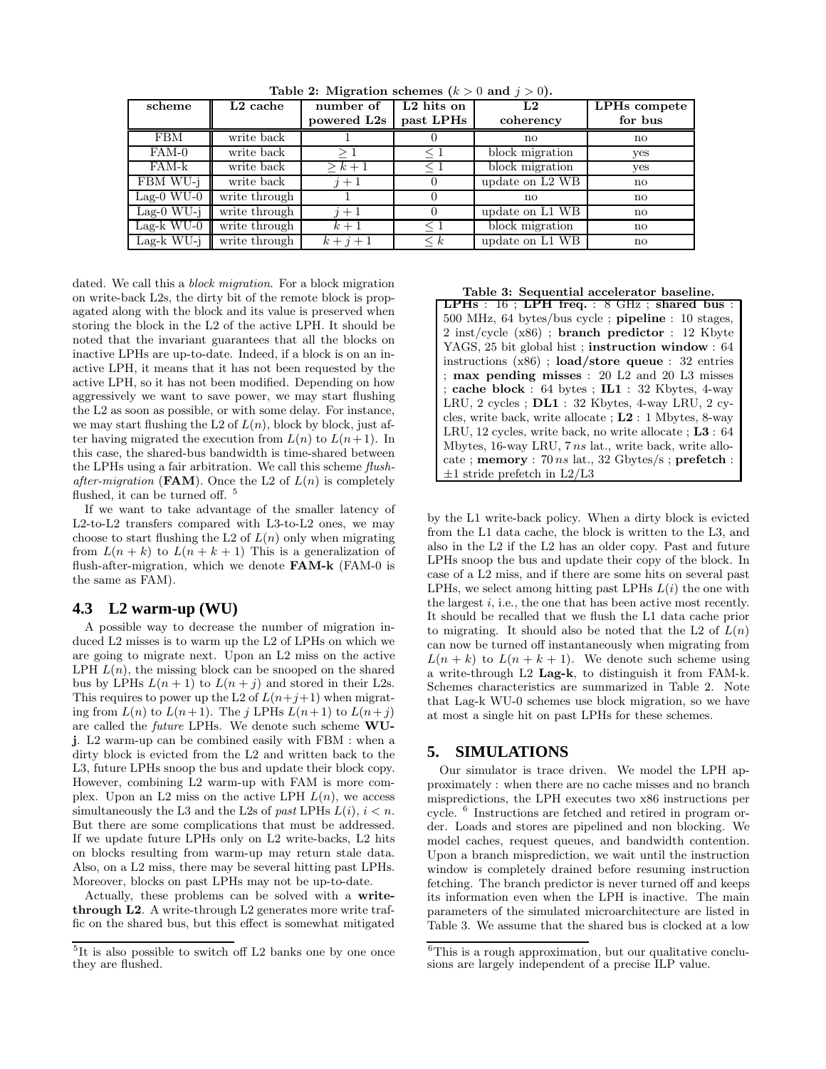| Table 2: Migration schemes $(k > 0$ and $j > 0$ ). |  |  |  |  |
|----------------------------------------------------|--|--|--|--|
|----------------------------------------------------|--|--|--|--|

| scheme                 | $L2$ cache    | number of   | L <sub>2</sub> hits on | L2              | <b>LPHs</b> compete    |
|------------------------|---------------|-------------|------------------------|-----------------|------------------------|
|                        |               | powered L2s | past LPHs              | coherency       | for bus                |
| <b>FBM</b>             | write back    |             |                        | no              | $\mathbf{n}$           |
| $FAM-0$                | write back    |             | $\leq 1$               | block migration | yes                    |
| FAM-k                  | write back    | $\geq k+1$  | $\leq 1$               | block migration | yes                    |
| FBM WU-j               | write back    | $i+1$       | 0                      | update on L2 WB | $\mathbf{n}$           |
| Lag- $0$ WU- $0$       | write through |             | $\cup$                 | no              | $\mathbf{n}$           |
| Lag-0 WU- $j$          | write through | $i+1$       | $\overline{0}$         | update on L1 WB | $\mathbf{n}$           |
| $\rm Lag-k$ WU-0       | write through | $k+1$       | $\leq 1$               | block migration | $\mathbf{n}\mathbf{o}$ |
| Lag-k WU-j $\parallel$ | write through | $k+j+1$     | $\leq k$               | update on L1 WB | $\mathbf{n}$           |

dated. We call this a *block migration*. For a block migration on write-back L2s, the dirty bit of the remote block is propagated along with the block and its value is preserved when storing the block in the L2 of the active LPH. It should be noted that the invariant guarantees that all the blocks on inactive LPHs are up-to-date. Indeed, if a block is on an inactive LPH, it means that it has not been requested by the active LPH, so it has not been modified. Depending on how aggressively we want to save power, we may start flushing the L2 as soon as possible, or with some delay. For instance, we may start flushing the L2 of  $L(n)$ , block by block, just after having migrated the execution from  $L(n)$  to  $L(n+1)$ . In this case, the shared-bus bandwidth is time-shared between the LPHs using a fair arbitration. We call this scheme flushafter-migration (FAM). Once the L2 of  $L(n)$  is completely flushed, it can be turned off. <sup>5</sup>

If we want to take advantage of the smaller latency of L2-to-L2 transfers compared with L3-to-L2 ones, we may choose to start flushing the L2 of  $L(n)$  only when migrating from  $L(n + k)$  to  $L(n + k + 1)$  This is a generalization of flush-after-migration, which we denote FAM-k (FAM-0 is the same as FAM).

## **4.3 L2 warm-up (WU)**

A possible way to decrease the number of migration induced L2 misses is to warm up the L2 of LPHs on which we are going to migrate next. Upon an L2 miss on the active LPH  $L(n)$ , the missing block can be snooped on the shared bus by LPHs  $L(n + 1)$  to  $L(n + j)$  and stored in their L2s. This requires to power up the L2 of  $L(n+j+1)$  when migrating from  $L(n)$  to  $L(n+1)$ . The j LPHs  $L(n+1)$  to  $L(n+j)$ are called the future LPHs. We denote such scheme WUj. L2 warm-up can be combined easily with FBM : when a dirty block is evicted from the L2 and written back to the L3, future LPHs snoop the bus and update their block copy. However, combining L2 warm-up with FAM is more complex. Upon an L2 miss on the active LPH  $L(n)$ , we access simultaneously the L3 and the L2s of past LPHs  $L(i)$ ,  $i < n$ . But there are some complications that must be addressed. If we update future LPHs only on L2 write-backs, L2 hits on blocks resulting from warm-up may return stale data. Also, on a L2 miss, there may be several hitting past LPHs. Moreover, blocks on past LPHs may not be up-to-date.

Actually, these problems can be solved with a writethrough L2. A write-through L2 generates more write traffic on the shared bus, but this effect is somewhat mitigated

#### Table 3: Sequential accelerator baseline.

LPHs :  $16$ ; LPH freq. :  $8$  GHz; shared bus : 500 MHz, 64 bytes/bus cycle ; pipeline : 10 stages, 2 inst/cycle (x86) ; branch predictor : 12 Kbyte YAGS, 25 bit global hist; instruction window: 64 instructions (x86) ; load/store queue : 32 entries ; max pending misses : 20 L2 and 20 L3 misses ; cache block : 64 bytes ; IL1 : 32 Kbytes, 4-way LRU,  $2 \text{ cycles}$ ;  $DL1$ :  $32 \text{ Kbytes}$ ,  $4\text{-way}$  LRU,  $2 \text{ cy-}$ cles, write back, write allocate ; L2 : 1 Mbytes, 8-way LRU, 12 cycles, write back, no write allocate ; **L3** : 64 Mbytes, 16-way LRU, 7 ns lat., write back, write allocate ; memory :  $70 ns$  lat., 32 Gbytes/s; prefetch :  $\pm 1$  stride prefetch in L2/L3

by the L1 write-back policy. When a dirty block is evicted from the L1 data cache, the block is written to the L3, and also in the L2 if the L2 has an older copy. Past and future LPHs snoop the bus and update their copy of the block. In case of a L2 miss, and if there are some hits on several past LPHs, we select among hitting past LPHs  $L(i)$  the one with the largest  $i$ , i.e., the one that has been active most recently. It should be recalled that we flush the L1 data cache prior to migrating. It should also be noted that the L2 of  $L(n)$ can now be turned off instantaneously when migrating from  $L(n + k)$  to  $L(n + k + 1)$ . We denote such scheme using a write-through L2 Lag-k, to distinguish it from FAM-k. Schemes characteristics are summarized in Table 2. Note that Lag-k WU-0 schemes use block migration, so we have at most a single hit on past LPHs for these schemes.

#### **5. SIMULATIONS**

Our simulator is trace driven. We model the LPH approximately : when there are no cache misses and no branch mispredictions, the LPH executes two x86 instructions per cycle. <sup>6</sup> Instructions are fetched and retired in program order. Loads and stores are pipelined and non blocking. We model caches, request queues, and bandwidth contention. Upon a branch misprediction, we wait until the instruction window is completely drained before resuming instruction fetching. The branch predictor is never turned off and keeps its information even when the LPH is inactive. The main parameters of the simulated microarchitecture are listed in Table 3. We assume that the shared bus is clocked at a low

<sup>5</sup> It is also possible to switch off L2 banks one by one once they are flushed.

 ${}^{6}$ This is a rough approximation, but our qualitative conclusions are largely independent of a precise ILP value.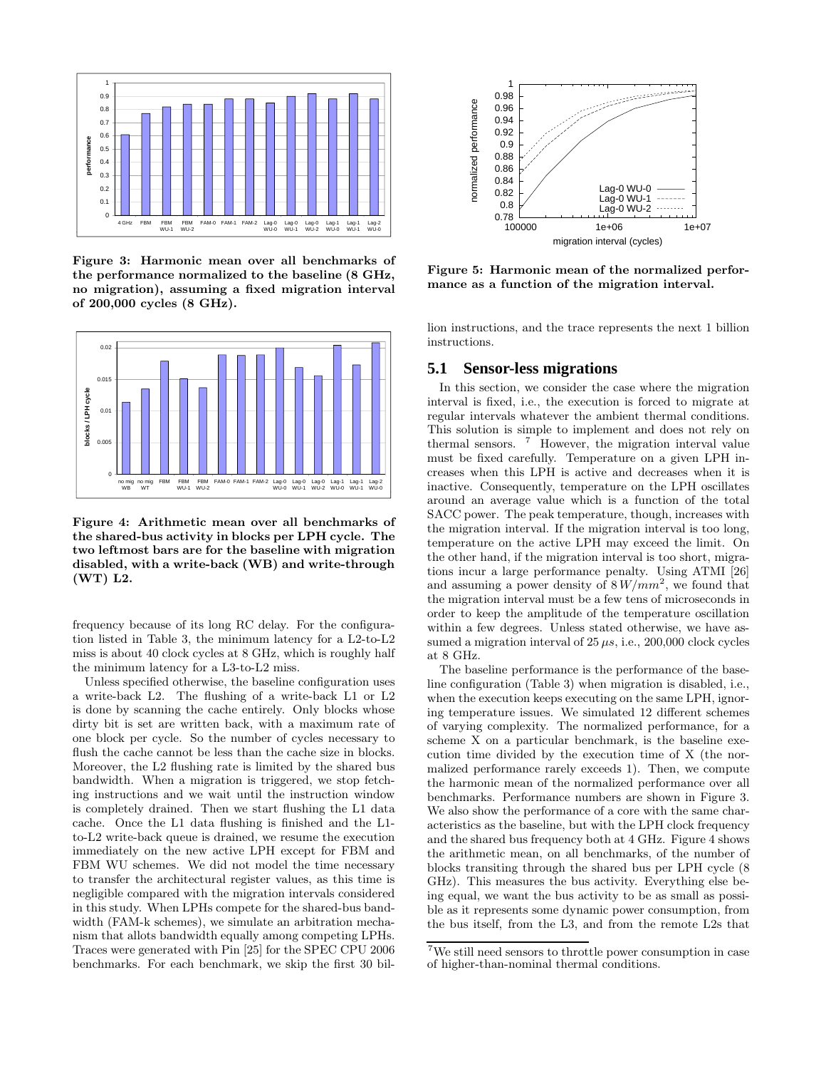

Figure 3: Harmonic mean over all benchmarks of the performance normalized to the baseline (8 GHz, no migration), assuming a fixed migration interval of 200,000 cycles (8 GHz).



Figure 4: Arithmetic mean over all benchmarks of the shared-bus activity in blocks per LPH cycle. The two leftmost bars are for the baseline with migration disabled, with a write-back (WB) and write-through (WT) L2.

frequency because of its long RC delay. For the configuration listed in Table 3, the minimum latency for a L2-to-L2 miss is about 40 clock cycles at 8 GHz, which is roughly half the minimum latency for a L3-to-L2 miss.

Unless specified otherwise, the baseline configuration uses a write-back L2. The flushing of a write-back L1 or L2 is done by scanning the cache entirely. Only blocks whose dirty bit is set are written back, with a maximum rate of one block per cycle. So the number of cycles necessary to flush the cache cannot be less than the cache size in blocks. Moreover, the L2 flushing rate is limited by the shared bus bandwidth. When a migration is triggered, we stop fetching instructions and we wait until the instruction window is completely drained. Then we start flushing the L1 data cache. Once the L1 data flushing is finished and the L1 to-L2 write-back queue is drained, we resume the execution immediately on the new active LPH except for FBM and FBM WU schemes. We did not model the time necessary to transfer the architectural register values, as this time is negligible compared with the migration intervals considered in this study. When LPHs compete for the shared-bus bandwidth (FAM-k schemes), we simulate an arbitration mechanism that allots bandwidth equally among competing LPHs. Traces were generated with Pin [25] for the SPEC CPU 2006 benchmarks. For each benchmark, we skip the first 30 bil-



Figure 5: Harmonic mean of the normalized performance as a function of the migration interval.

lion instructions, and the trace represents the next 1 billion instructions.

## **5.1 Sensor-less migrations**

In this section, we consider the case where the migration interval is fixed, i.e., the execution is forced to migrate at regular intervals whatever the ambient thermal conditions. This solution is simple to implement and does not rely on thermal sensors. <sup>7</sup> However, the migration interval value must be fixed carefully. Temperature on a given LPH increases when this LPH is active and decreases when it is inactive. Consequently, temperature on the LPH oscillates around an average value which is a function of the total SACC power. The peak temperature, though, increases with the migration interval. If the migration interval is too long, temperature on the active LPH may exceed the limit. On the other hand, if the migration interval is too short, migrations incur a large performance penalty. Using ATMI [26] and assuming a power density of  $8 W/mm^2$ , we found that the migration interval must be a few tens of microseconds in order to keep the amplitude of the temperature oscillation within a few degrees. Unless stated otherwise, we have assumed a migration interval of  $25 \mu s$ , i.e.,  $200,000$  clock cycles at 8 GHz.

The baseline performance is the performance of the baseline configuration (Table 3) when migration is disabled, i.e., when the execution keeps executing on the same LPH, ignoring temperature issues. We simulated 12 different schemes of varying complexity. The normalized performance, for a scheme X on a particular benchmark, is the baseline execution time divided by the execution time of X (the normalized performance rarely exceeds 1). Then, we compute the harmonic mean of the normalized performance over all benchmarks. Performance numbers are shown in Figure 3. We also show the performance of a core with the same characteristics as the baseline, but with the LPH clock frequency and the shared bus frequency both at 4 GHz. Figure 4 shows the arithmetic mean, on all benchmarks, of the number of blocks transiting through the shared bus per LPH cycle (8 GHz). This measures the bus activity. Everything else being equal, we want the bus activity to be as small as possible as it represents some dynamic power consumption, from the bus itself, from the L3, and from the remote L2s that

<sup>7</sup>We still need sensors to throttle power consumption in case of higher-than-nominal thermal conditions.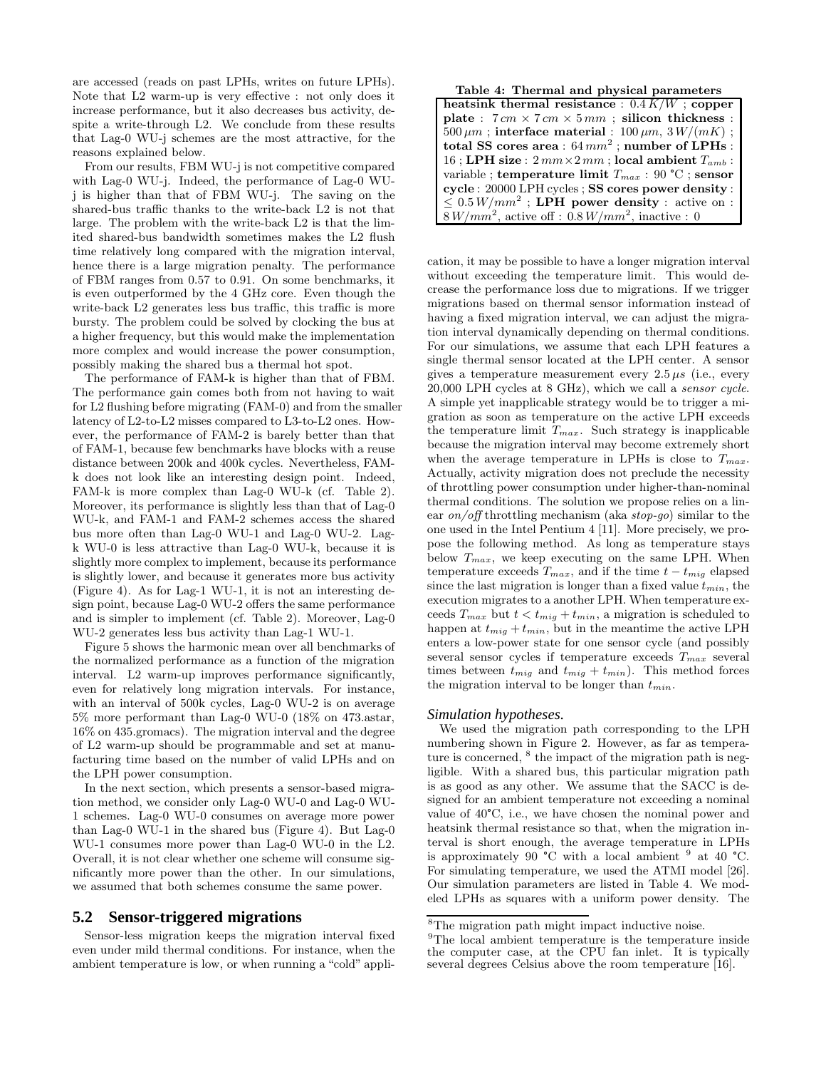are accessed (reads on past LPHs, writes on future LPHs). Note that L2 warm-up is very effective : not only does it increase performance, but it also decreases bus activity, despite a write-through L2. We conclude from these results that Lag-0 WU-j schemes are the most attractive, for the reasons explained below.

From our results, FBM WU-j is not competitive compared with Lag-0 WU-j. Indeed, the performance of Lag-0 WUj is higher than that of FBM WU-j. The saving on the shared-bus traffic thanks to the write-back L2 is not that large. The problem with the write-back L2 is that the limited shared-bus bandwidth sometimes makes the L2 flush time relatively long compared with the migration interval, hence there is a large migration penalty. The performance of FBM ranges from 0.57 to 0.91. On some benchmarks, it is even outperformed by the 4 GHz core. Even though the write-back L2 generates less bus traffic, this traffic is more bursty. The problem could be solved by clocking the bus at a higher frequency, but this would make the implementation more complex and would increase the power consumption, possibly making the shared bus a thermal hot spot.

The performance of FAM-k is higher than that of FBM. The performance gain comes both from not having to wait for L2 flushing before migrating (FAM-0) and from the smaller latency of L2-to-L2 misses compared to L3-to-L2 ones. However, the performance of FAM-2 is barely better than that of FAM-1, because few benchmarks have blocks with a reuse distance between 200k and 400k cycles. Nevertheless, FAMk does not look like an interesting design point. Indeed, FAM-k is more complex than Lag-0 WU-k (cf. Table 2). Moreover, its performance is slightly less than that of Lag-0 WU-k, and FAM-1 and FAM-2 schemes access the shared bus more often than Lag-0 WU-1 and Lag-0 WU-2. Lagk WU-0 is less attractive than Lag-0 WU-k, because it is slightly more complex to implement, because its performance is slightly lower, and because it generates more bus activity (Figure 4). As for Lag-1 WU-1, it is not an interesting design point, because Lag-0 WU-2 offers the same performance and is simpler to implement (cf. Table 2). Moreover, Lag-0 WU-2 generates less bus activity than Lag-1 WU-1.

Figure 5 shows the harmonic mean over all benchmarks of the normalized performance as a function of the migration interval. L2 warm-up improves performance significantly, even for relatively long migration intervals. For instance, with an interval of 500k cycles, Lag-0 WU-2 is on average 5% more performant than Lag-0 WU-0 (18% on 473.astar, 16% on 435.gromacs). The migration interval and the degree of L2 warm-up should be programmable and set at manufacturing time based on the number of valid LPHs and on the LPH power consumption.

In the next section, which presents a sensor-based migration method, we consider only Lag-0 WU-0 and Lag-0 WU-1 schemes. Lag-0 WU-0 consumes on average more power than Lag-0 WU-1 in the shared bus (Figure 4). But Lag-0 WU-1 consumes more power than Lag-0 WU-0 in the L2. Overall, it is not clear whether one scheme will consume significantly more power than the other. In our simulations, we assumed that both schemes consume the same power.

#### **5.2 Sensor-triggered migrations**

Sensor-less migration keeps the migration interval fixed even under mild thermal conditions. For instance, when the ambient temperature is low, or when running a "cold" appli-

Table 4: Thermal and physical parameters heatsink thermal resistance :  $0.4 K/W$ ; copper plate :  $7 cm \times 7 cm \times 5 mm$  ; silicon thickness :  $500 \ \mu m$ ; interface material :  $100 \ \mu m$ ,  $3 \ W/(mK)$ ;  ${\bf total\ SS\ cores\ area : 64}\,mm^2\ ;\ number\ of\ LPHs:$ 16 ; LPH size :  $2 \, mm \times 2 \, mm$  ; local ambient  $T_{amb}$  : variable ; temperature limit  $T_{max}$  : 90 °C ; sensor cycle : 20000 LPH cycles ; SS cores power density :  $\leq 0.5 W/mm^2$ ; LPH power density : active on :  $8 W/mm^2$ , active off :  $0.8 W/mm^2$ , inactive : 0

cation, it may be possible to have a longer migration interval without exceeding the temperature limit. This would decrease the performance loss due to migrations. If we trigger migrations based on thermal sensor information instead of having a fixed migration interval, we can adjust the migration interval dynamically depending on thermal conditions. For our simulations, we assume that each LPH features a single thermal sensor located at the LPH center. A sensor gives a temperature measurement every  $2.5 \mu s$  (i.e., every 20,000 LPH cycles at 8 GHz), which we call a sensor cycle. A simple yet inapplicable strategy would be to trigger a migration as soon as temperature on the active LPH exceeds the temperature limit  $T_{max}$ . Such strategy is inapplicable because the migration interval may become extremely short when the average temperature in LPHs is close to  $T_{max}$ . Actually, activity migration does not preclude the necessity of throttling power consumption under higher-than-nominal thermal conditions. The solution we propose relies on a linear *on/off* throttling mechanism (aka *stop-qo*) similar to the one used in the Intel Pentium 4 [11]. More precisely, we propose the following method. As long as temperature stays below  $T_{max}$ , we keep executing on the same LPH. When temperature exceeds  $T_{max}$ , and if the time  $t - t_{mig}$  elapsed since the last migration is longer than a fixed value  $t_{min}$ , the execution migrates to a another LPH. When temperature exceeds  $T_{max}$  but  $t < t_{mig} + t_{min}$ , a migration is scheduled to happen at  $t_{mig} + t_{min}$ , but in the meantime the active LPH enters a low-power state for one sensor cycle (and possibly several sensor cycles if temperature exceeds  $T_{max}$  several times between  $t_{mig}$  and  $t_{mig} + t_{min}$ ). This method forces the migration interval to be longer than  $t_{min}$ .

#### *Simulation hypotheses.*

We used the migration path corresponding to the LPH numbering shown in Figure 2. However, as far as temperature is concerned, <sup>8</sup> the impact of the migration path is negligible. With a shared bus, this particular migration path is as good as any other. We assume that the SACC is designed for an ambient temperature not exceeding a nominal value of 40°C, i.e., we have chosen the nominal power and heatsink thermal resistance so that, when the migration interval is short enough, the average temperature in LPHs is approximately 90 °C with a local ambient  $9$  at 40 °C. For simulating temperature, we used the ATMI model [26]. Our simulation parameters are listed in Table 4. We modeled LPHs as squares with a uniform power density. The

 ${}^{8}{\rm The}$  migration path might impact inductive noise.

<sup>&</sup>lt;sup>9</sup>The local ambient temperature is the temperature inside the computer case, at the CPU fan inlet. It is typically several degrees Celsius above the room temperature [16].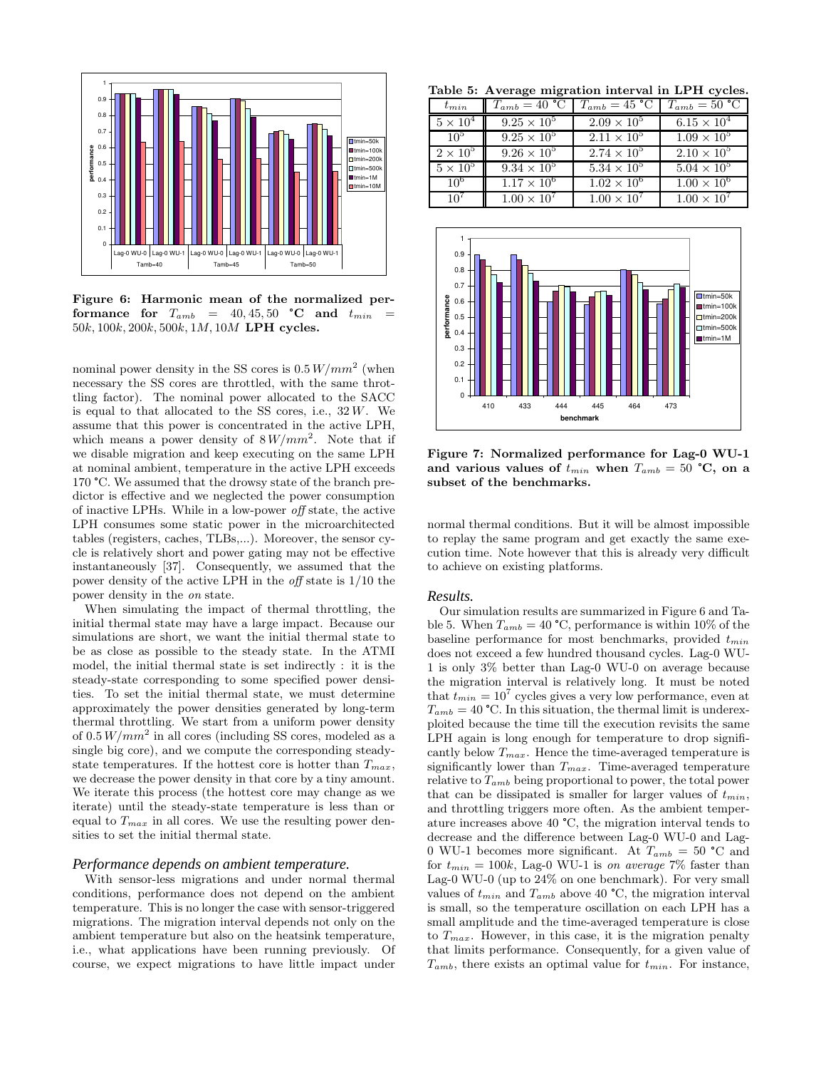

Figure 6: Harmonic mean of the normalized performance for  $T_{amb} = 40, 45, 50$  °C and  $t_{min} =$ 50k, 100k, 200k, 500k, 1M, 10M LPH cycles.

nominal power density in the SS cores is  $0.5 W/mm^2$  (when necessary the SS cores are throttled, with the same throttling factor). The nominal power allocated to the SACC is equal to that allocated to the SS cores, i.e.,  $32 W$ . We assume that this power is concentrated in the active LPH, which means a power density of  $8 W/mm^2$ . Note that if we disable migration and keep executing on the same LPH at nominal ambient, temperature in the active LPH exceeds 170 °C. We assumed that the drowsy state of the branch predictor is effective and we neglected the power consumption of inactive LPHs. While in a low-power off state, the active LPH consumes some static power in the microarchitected tables (registers, caches, TLBs,...). Moreover, the sensor cycle is relatively short and power gating may not be effective instantaneously [37]. Consequently, we assumed that the power density of the active LPH in the off state is 1/10 the power density in the on state.

When simulating the impact of thermal throttling, the initial thermal state may have a large impact. Because our simulations are short, we want the initial thermal state to be as close as possible to the steady state. In the ATMI model, the initial thermal state is set indirectly : it is the steady-state corresponding to some specified power densities. To set the initial thermal state, we must determine approximately the power densities generated by long-term thermal throttling. We start from a uniform power density of  $0.5 W/mm^2$  in all cores (including SS cores, modeled as a single big core), and we compute the corresponding steadystate temperatures. If the hottest core is hotter than  $T_{max}$ , we decrease the power density in that core by a tiny amount. We iterate this process (the hottest core may change as we iterate) until the steady-state temperature is less than or equal to  $T_{max}$  in all cores. We use the resulting power densities to set the initial thermal state.

#### *Performance depends on ambient temperature.*

With sensor-less migrations and under normal thermal conditions, performance does not depend on the ambient temperature. This is no longer the case with sensor-triggered migrations. The migration interval depends not only on the ambient temperature but also on the heatsink temperature, i.e., what applications have been running previously. Of course, we expect migrations to have little impact under

Table 5: Average migration interval in LPH cycles.

| $t_{min}$       | $T_{amb} = 40 °C$    | $T_{amb} = 45 °C$    | $T_{amb} = 50 °C$    |
|-----------------|----------------------|----------------------|----------------------|
| $5 \times 10^4$ | $9.25 \times 10^{5}$ | $2.09 \times 10^{5}$ | $6.15 \times 10^{4}$ |
| 10 <sup>5</sup> | $9.25 \times 10^{5}$ | $2.11 \times 10^{5}$ | $1.09 \times 10^{5}$ |
| $2\times10^5$   | $9.26 \times 10^{5}$ | $2.74 \times 10^{5}$ | $2.10 \times 10^{5}$ |
| $5 \times 10^5$ | $9.34 \times 10^{5}$ | $5.34 \times 10^{5}$ | $5.04 \times 10^{5}$ |
| 10 <sup>6</sup> | $1.17 \times 10^{6}$ | $1.02 \times 10^{6}$ | $1.00 \times 10^{6}$ |
| 10'             | $1.00 \times 10^{7}$ | $1.00 \times 10^{7}$ | $1.00 \times 10^{7}$ |



Figure 7: Normalized performance for Lag-0 WU-1 and various values of  $t_{min}$  when  $T_{amb} = 50$  °C, on a subset of the benchmarks.

normal thermal conditions. But it will be almost impossible to replay the same program and get exactly the same execution time. Note however that this is already very difficult to achieve on existing platforms.

#### *Results.*

Our simulation results are summarized in Figure 6 and Table 5. When  $T_{amb} = 40$  °C, performance is within 10% of the baseline performance for most benchmarks, provided  $t_{min}$ does not exceed a few hundred thousand cycles. Lag-0 WU-1 is only 3% better than Lag-0 WU-0 on average because the migration interval is relatively long. It must be noted that  $t_{min} = 10^7$  cycles gives a very low performance, even at  $T_{amb} = 40$  °C. In this situation, the thermal limit is underexploited because the time till the execution revisits the same LPH again is long enough for temperature to drop significantly below  $T_{max}$ . Hence the time-averaged temperature is significantly lower than  $T_{max}$ . Time-averaged temperature relative to  $T_{amb}$  being proportional to power, the total power that can be dissipated is smaller for larger values of  $t_{min}$ , and throttling triggers more often. As the ambient temperature increases above 40 °C, the migration interval tends to decrease and the difference between Lag-0 WU-0 and Lag-0 WU-1 becomes more significant. At  $T_{amb} = 50$  °C and for  $t_{min} = 100k$ , Lag-0 WU-1 is on average 7% faster than Lag-0 WU-0 (up to 24% on one benchmark). For very small values of  $t_{min}$  and  $T_{amb}$  above 40 °C, the migration interval is small, so the temperature oscillation on each LPH has a small amplitude and the time-averaged temperature is close to  $T_{max}$ . However, in this case, it is the migration penalty that limits performance. Consequently, for a given value of  $T_{amb}$ , there exists an optimal value for  $t_{min}$ . For instance,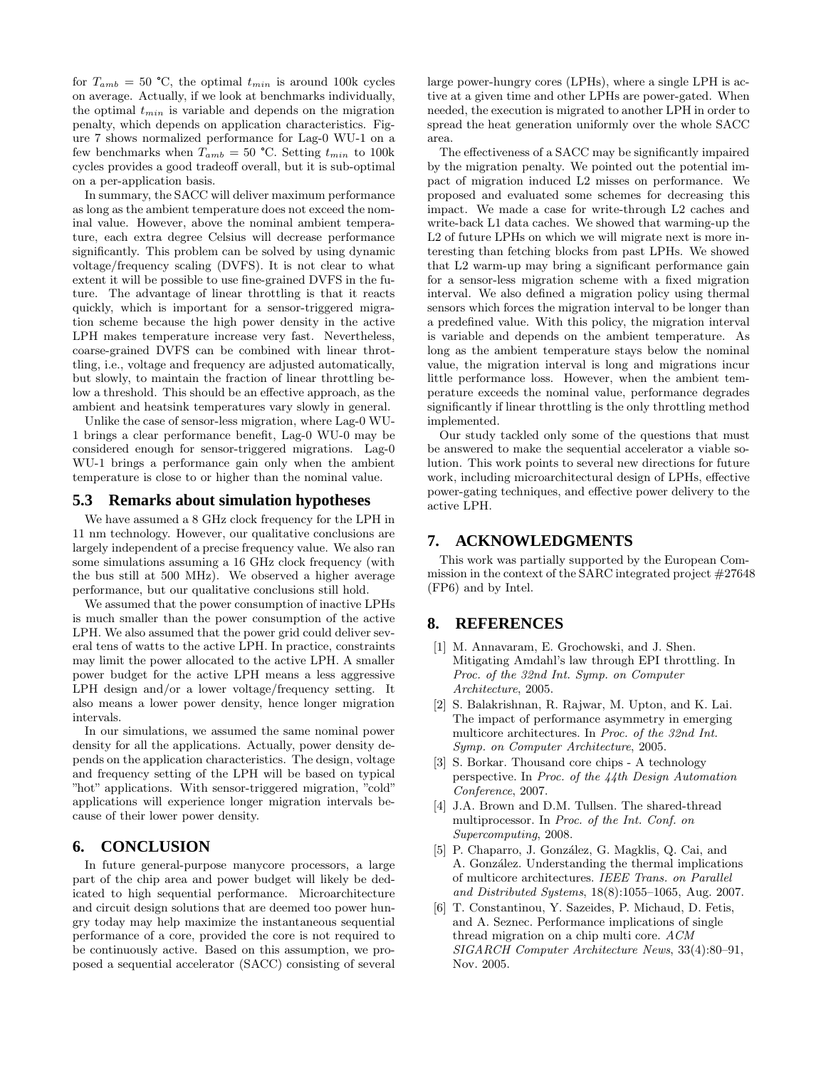for  $T_{amb} = 50$  °C, the optimal  $t_{min}$  is around 100k cycles on average. Actually, if we look at benchmarks individually, the optimal  $t_{min}$  is variable and depends on the migration penalty, which depends on application characteristics. Figure 7 shows normalized performance for Lag-0 WU-1 on a few benchmarks when  $T_{amb} = 50$  °C. Setting  $t_{min}$  to 100k cycles provides a good tradeoff overall, but it is sub-optimal on a per-application basis.

In summary, the SACC will deliver maximum performance as long as the ambient temperature does not exceed the nominal value. However, above the nominal ambient temperature, each extra degree Celsius will decrease performance significantly. This problem can be solved by using dynamic voltage/frequency scaling (DVFS). It is not clear to what extent it will be possible to use fine-grained DVFS in the future. The advantage of linear throttling is that it reacts quickly, which is important for a sensor-triggered migration scheme because the high power density in the active LPH makes temperature increase very fast. Nevertheless, coarse-grained DVFS can be combined with linear throttling, i.e., voltage and frequency are adjusted automatically, but slowly, to maintain the fraction of linear throttling below a threshold. This should be an effective approach, as the ambient and heatsink temperatures vary slowly in general.

Unlike the case of sensor-less migration, where Lag-0 WU-1 brings a clear performance benefit, Lag-0 WU-0 may be considered enough for sensor-triggered migrations. Lag-0 WU-1 brings a performance gain only when the ambient temperature is close to or higher than the nominal value.

### **5.3 Remarks about simulation hypotheses**

We have assumed a 8 GHz clock frequency for the LPH in 11 nm technology. However, our qualitative conclusions are largely independent of a precise frequency value. We also ran some simulations assuming a 16 GHz clock frequency (with the bus still at 500 MHz). We observed a higher average performance, but our qualitative conclusions still hold.

We assumed that the power consumption of inactive LPHs is much smaller than the power consumption of the active LPH. We also assumed that the power grid could deliver several tens of watts to the active LPH. In practice, constraints may limit the power allocated to the active LPH. A smaller power budget for the active LPH means a less aggressive LPH design and/or a lower voltage/frequency setting. It also means a lower power density, hence longer migration intervals.

In our simulations, we assumed the same nominal power density for all the applications. Actually, power density depends on the application characteristics. The design, voltage and frequency setting of the LPH will be based on typical "hot" applications. With sensor-triggered migration, "cold" applications will experience longer migration intervals because of their lower power density.

# **6. CONCLUSION**

In future general-purpose manycore processors, a large part of the chip area and power budget will likely be dedicated to high sequential performance. Microarchitecture and circuit design solutions that are deemed too power hungry today may help maximize the instantaneous sequential performance of a core, provided the core is not required to be continuously active. Based on this assumption, we proposed a sequential accelerator (SACC) consisting of several

large power-hungry cores (LPHs), where a single LPH is active at a given time and other LPHs are power-gated. When needed, the execution is migrated to another LPH in order to spread the heat generation uniformly over the whole SACC area.

The effectiveness of a SACC may be significantly impaired by the migration penalty. We pointed out the potential impact of migration induced L2 misses on performance. We proposed and evaluated some schemes for decreasing this impact. We made a case for write-through L2 caches and write-back L1 data caches. We showed that warming-up the L2 of future LPHs on which we will migrate next is more interesting than fetching blocks from past LPHs. We showed that L2 warm-up may bring a significant performance gain for a sensor-less migration scheme with a fixed migration interval. We also defined a migration policy using thermal sensors which forces the migration interval to be longer than a predefined value. With this policy, the migration interval is variable and depends on the ambient temperature. As long as the ambient temperature stays below the nominal value, the migration interval is long and migrations incur little performance loss. However, when the ambient temperature exceeds the nominal value, performance degrades significantly if linear throttling is the only throttling method implemented.

Our study tackled only some of the questions that must be answered to make the sequential accelerator a viable solution. This work points to several new directions for future work, including microarchitectural design of LPHs, effective power-gating techniques, and effective power delivery to the active LPH.

## **7. ACKNOWLEDGMENTS**

This work was partially supported by the European Commission in the context of the SARC integrated project #27648 (FP6) and by Intel.

## **8. REFERENCES**

- [1] M. Annavaram, E. Grochowski, and J. Shen. Mitigating Amdahl's law through EPI throttling. In Proc. of the 32nd Int. Symp. on Computer Architecture, 2005.
- [2] S. Balakrishnan, R. Rajwar, M. Upton, and K. Lai. The impact of performance asymmetry in emerging multicore architectures. In Proc. of the 32nd Int. Symp. on Computer Architecture, 2005.
- [3] S. Borkar. Thousand core chips A technology perspective. In Proc. of the 44th Design Automation Conference, 2007.
- [4] J.A. Brown and D.M. Tullsen. The shared-thread multiprocessor. In Proc. of the Int. Conf. on Supercomputing, 2008.
- [5] P. Chaparro, J. González, G. Magklis, Q. Cai, and A. González. Understanding the thermal implications of multicore architectures. IEEE Trans. on Parallel and Distributed Systems, 18(8):1055–1065, Aug. 2007.
- [6] T. Constantinou, Y. Sazeides, P. Michaud, D. Fetis, and A. Seznec. Performance implications of single thread migration on a chip multi core. ACM SIGARCH Computer Architecture News, 33(4):80–91, Nov. 2005.